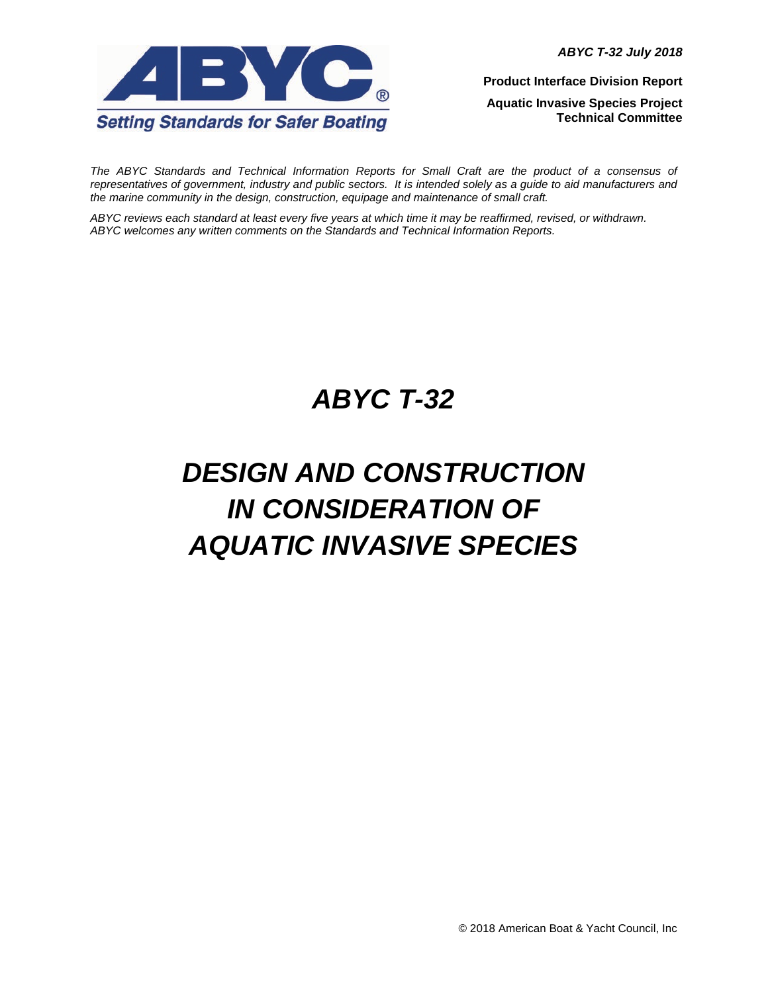*ABYC T-32 July 2018*



**Product Interface Division Report**

**Aquatic Invasive Species Project Technical Committee**

The ABYC Standards and Technical Information Reports for Small Craft are the product of a consensus of *representatives of government, industry and public sectors. It is intended solely as a guide to aid manufacturers and the marine community in the design, construction, equipage and maintenance of small craft.*

*ABYC reviews each standard at least every five years at which time it may be reaffirmed, revised, or withdrawn. ABYC welcomes any written comments on the Standards and Technical Information Reports.*

# *ABYC T-32*

# *DESIGN AND CONSTRUCTION IN CONSIDERATION OF AQUATIC INVASIVE SPECIES*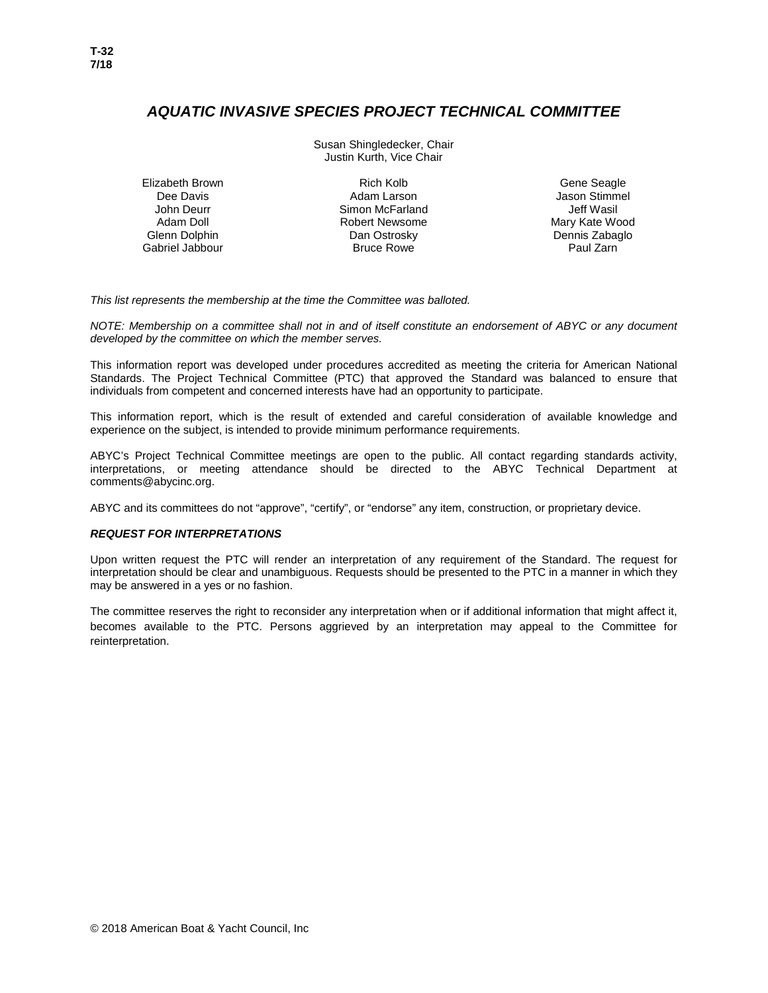# *AQUATIC INVASIVE SPECIES PROJECT TECHNICAL COMMITTEE*

Susan Shingledecker, Chair Justin Kurth, Vice Chair

Elizabeth Brown Rich Kolb Gene Seagle Dee Davis John Deurr Gabriel Jabbour

Adam Larson Simon McFarland Adam Doll **Robert Newsome**<br>
Glenn Dolphin **Communist Clean Open Control**<br>
Dan Ostrosky Dan Ostrosky **Dan Ostrosky** Dennis Zabaglo<br>Bruce Rowe **Dennis Zabaglo** Paul Zarn

Jason Stimmel Jeff Wasil<br>Mary Kate Wood

*This list represents the membership at the time the Committee was balloted.* 

*NOTE: Membership on a committee shall not in and of itself constitute an endorsement of ABYC or any document developed by the committee on which the member serves.* 

This information report was developed under procedures accredited as meeting the criteria for American National Standards. The Project Technical Committee (PTC) that approved the Standard was balanced to ensure that individuals from competent and concerned interests have had an opportunity to participate.

This information report, which is the result of extended and careful consideration of available knowledge and experience on the subject, is intended to provide minimum performance requirements.

ABYC's Project Technical Committee meetings are open to the public. All contact regarding standards activity, interpretations, or meeting attendance should be directed to the ABYC Technical Department at comments@abycinc.org.

ABYC and its committees do not "approve", "certify", or "endorse" any item, construction, or proprietary device.

#### *REQUEST FOR INTERPRETATIONS*

Upon written request the PTC will render an interpretation of any requirement of the Standard. The request for interpretation should be clear and unambiguous. Requests should be presented to the PTC in a manner in which they may be answered in a yes or no fashion.

The committee reserves the right to reconsider any interpretation when or if additional information that might affect it, becomes available to the PTC. Persons aggrieved by an interpretation may appeal to the Committee for reinterpretation.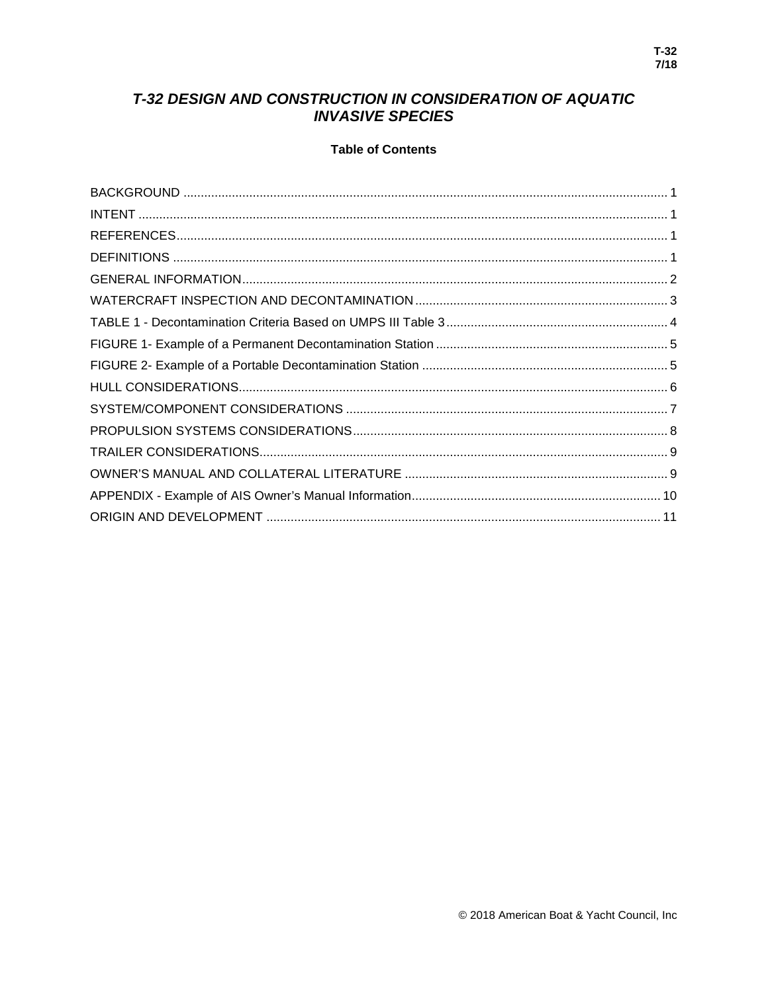# T-32 DESIGN AND CONSTRUCTION IN CONSIDERATION OF AQUATIC **INVASIVE SPECIES**

# **Table of Contents**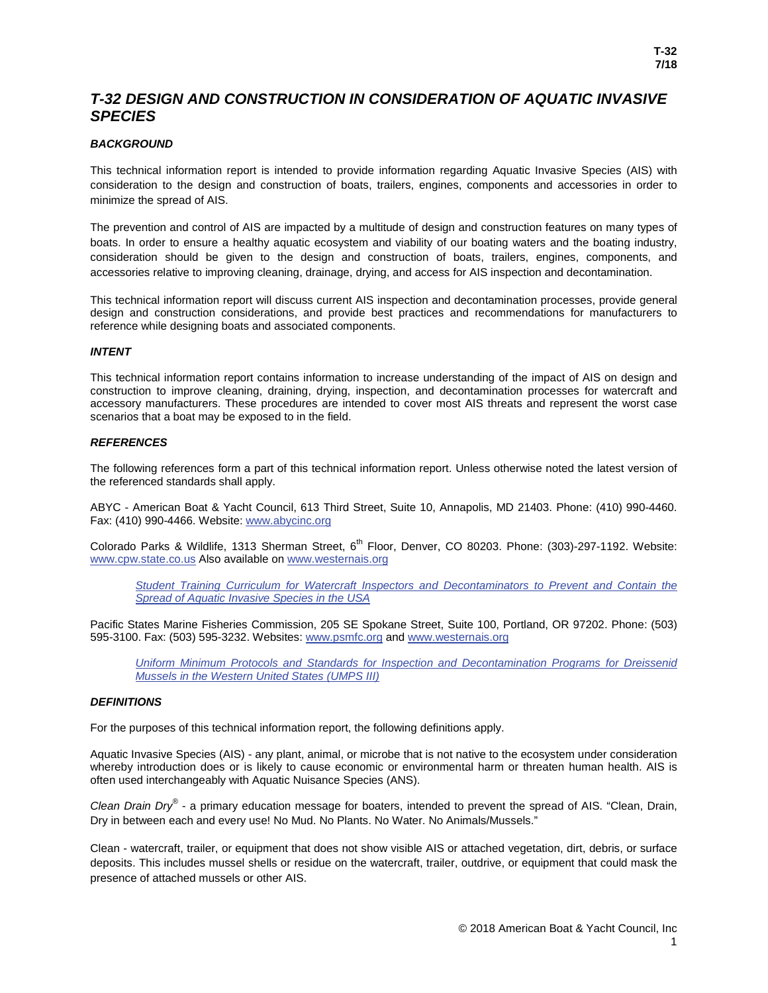# *T-32 DESIGN AND CONSTRUCTION IN CONSIDERATION OF AQUATIC INVASIVE SPECIES*

# <span id="page-3-0"></span>*BACKGROUND*

This technical information report is intended to provide information regarding Aquatic Invasive Species (AIS) with consideration to the design and construction of boats, trailers, engines, components and accessories in order to minimize the spread of AIS.

The prevention and control of AIS are impacted by a multitude of design and construction features on many types of boats. In order to ensure a healthy aquatic ecosystem and viability of our boating waters and the boating industry, consideration should be given to the design and construction of boats, trailers, engines, components, and accessories relative to improving cleaning, drainage, drying, and access for AIS inspection and decontamination.

This technical information report will discuss current AIS inspection and decontamination processes, provide general design and construction considerations, and provide best practices and recommendations for manufacturers to reference while designing boats and associated components.

## <span id="page-3-1"></span>*INTENT*

This technical information report contains information to increase understanding of the impact of AIS on design and construction to improve cleaning, draining, drying, inspection, and decontamination processes for watercraft and accessory manufacturers. These procedures are intended to cover most AIS threats and represent the worst case scenarios that a boat may be exposed to in the field.

#### <span id="page-3-2"></span>*REFERENCES*

The following references form a part of this technical information report. Unless otherwise noted the latest version of the referenced standards shall apply.

ABYC - American Boat & Yacht Council, 613 Third Street, Suite 10, Annapolis, MD 21403. Phone: (410) 990-4460. Fax: (410) 990-4466. Website: [www.abycinc.org](http://www.abycinc.org/)

Colorado Parks & Wildlife, 1313 Sherman Street, 6<sup>th</sup> Floor, Denver, CO 80203. Phone: (303)-297-1192. Website: [www.cpw.state.co.us](http://www.cpw.state.co.us/) Also available on [www.westernais.org](http://www.westernais.org/)

*Student Training Curriculum for Watercraft [Inspectors and Decontaminators to Prevent and Contain the](http://www.westernais.org/media/training/2016_wrp_student_widt_ii_curriculum_final-docx.pdf)  [Spread of Aquatic Invasive Species in the USA](http://www.westernais.org/media/training/2016_wrp_student_widt_ii_curriculum_final-docx.pdf)* 

Pacific States Marine Fisheries Commission, 205 SE Spokane Street, Suite 100, Portland, OR 97202. Phone: (503) 595-3100. Fax: (503) 595-3232. Websites[: www.psmfc.org](http://www.psmfc.org/) and [www.westernais.org](http://www.westernais.org/)

*Uniform Minimum Protocols and Standards [for Inspection and Decontamination Programs for Dreissenid](http://www.westernais.org/media/training/umps-report_a.pdf)  [Mussels in the Western United States \(UMPS III\)](http://www.westernais.org/media/training/umps-report_a.pdf)* 

## <span id="page-3-3"></span>*DEFINITIONS*

For the purposes of this technical information report, the following definitions apply.

Aquatic Invasive Species (AIS) - any plant, animal, or microbe that is not native to the ecosystem under consideration whereby introduction does or is likely to cause economic or environmental harm or threaten human health. AIS is often used interchangeably with Aquatic Nuisance Species (ANS).

*Clean Drain Dry®* - a primary education message for boaters, intended to prevent the spread of AIS. "Clean, Drain, Dry in between each and every use! No Mud. No Plants. No Water. No Animals/Mussels."

Clean - watercraft, trailer, or equipment that does not show visible AIS or attached vegetation, dirt, debris, or surface deposits. This includes mussel shells or residue on the watercraft, trailer, outdrive, or equipment that could mask the presence of attached mussels or other AIS.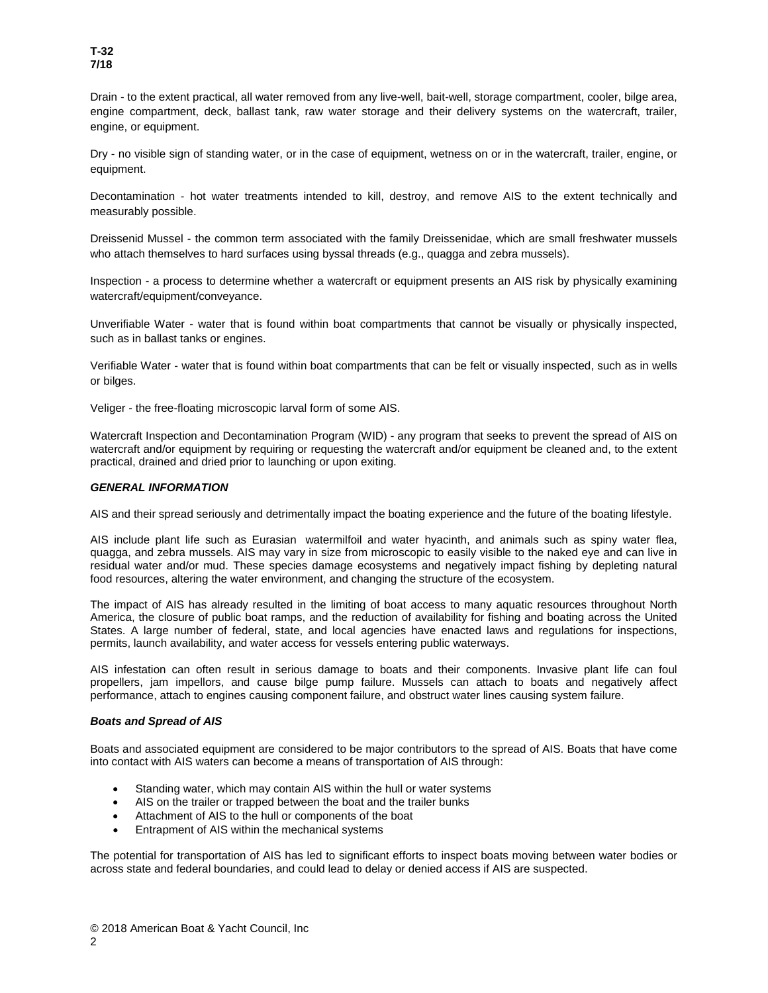Drain - to the extent practical, all water removed from any live-well, bait-well, storage compartment, cooler, bilge area, engine compartment, deck, ballast tank, raw water storage and their delivery systems on the watercraft, trailer, engine, or equipment.

Dry - no visible sign of standing water, or in the case of equipment, wetness on or in the watercraft, trailer, engine, or equipment.

Decontamination - hot water treatments intended to kill, destroy, and remove AIS to the extent technically and measurably possible.

Dreissenid Mussel - the common term associated with the family Dreissenidae, which are small freshwater mussels who attach themselves to hard surfaces using byssal threads (e.g., quagga and zebra mussels).

Inspection - a process to determine whether a watercraft or equipment presents an AIS risk by physically examining watercraft/equipment/conveyance.

Unverifiable Water - water that is found within boat compartments that cannot be visually or physically inspected, such as in ballast tanks or engines.

Verifiable Water - water that is found within boat compartments that can be felt or visually inspected, such as in wells or bilges.

Veliger - the free-floating microscopic larval form of some AIS.

Watercraft Inspection and Decontamination Program (WID) - any program that seeks to prevent the spread of AIS on watercraft and/or equipment by requiring or requesting the watercraft and/or equipment be cleaned and, to the extent practical, drained and dried prior to launching or upon exiting.

#### <span id="page-4-0"></span>*GENERAL INFORMATION*

AIS and their spread seriously and detrimentally impact the boating experience and the future of the boating lifestyle.

AIS include plant life such as Eurasian watermilfoil and water hyacinth, and animals such as spiny water flea, quagga, and zebra mussels. AIS may vary in size from microscopic to easily visible to the naked eye and can live in residual water and/or mud. These species damage ecosystems and negatively impact fishing by depleting natural food resources, altering the water environment, and changing the structure of the ecosystem.

The impact of AIS has already resulted in the limiting of boat access to many aquatic resources throughout North America, the closure of public boat ramps, and the reduction of availability for fishing and boating across the United States. A large number of federal, state, and local agencies have enacted laws and regulations for inspections, permits, launch availability, and water access for vessels entering public waterways.

AIS infestation can often result in serious damage to boats and their components. Invasive plant life can foul propellers, jam impellors, and cause bilge pump failure. Mussels can attach to boats and negatively affect performance, attach to engines causing component failure, and obstruct water lines causing system failure.

#### *Boats and Spread of AIS*

Boats and associated equipment are considered to be major contributors to the spread of AIS. Boats that have come into contact with AIS waters can become a means of transportation of AIS through:

- Standing water, which may contain AIS within the hull or water systems
- AIS on the trailer or trapped between the boat and the trailer bunks
- Attachment of AIS to the hull or components of the boat
- Entrapment of AIS within the mechanical systems

The potential for transportation of AIS has led to significant efforts to inspect boats moving between water bodies or across state and federal boundaries, and could lead to delay or denied access if AIS are suspected.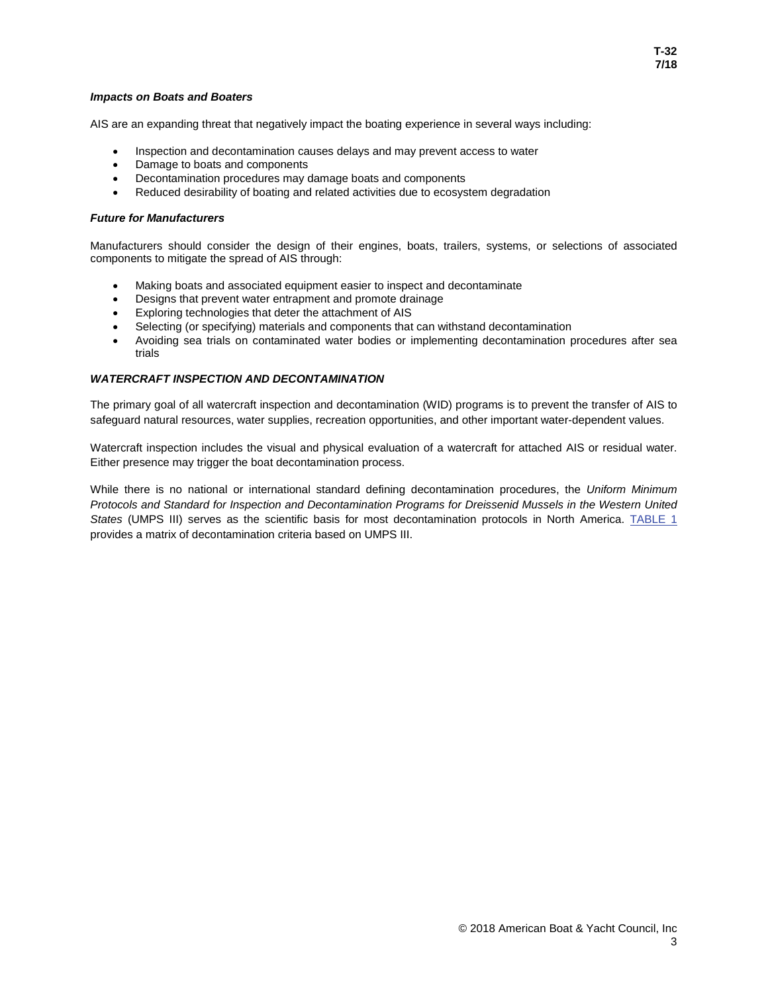#### *Impacts on Boats and Boaters*

AIS are an expanding threat that negatively impact the boating experience in several ways including:

- Inspection and decontamination causes delays and may prevent access to water
- Damage to boats and components
- Decontamination procedures may damage boats and components
- Reduced desirability of boating and related activities due to ecosystem degradation

#### *Future for Manufacturers*

Manufacturers should consider the design of their engines, boats, trailers, systems, or selections of associated components to mitigate the spread of AIS through:

- Making boats and associated equipment easier to inspect and decontaminate
- Designs that prevent water entrapment and promote drainage
- Exploring technologies that deter the attachment of AIS
- Selecting (or specifying) materials and components that can withstand decontamination
- Avoiding sea trials on contaminated water bodies or implementing decontamination procedures after sea trials

#### <span id="page-5-0"></span>*WATERCRAFT INSPECTION AND DECONTAMINATION*

The primary goal of all watercraft inspection and decontamination (WID) programs is to prevent the transfer of AIS to safeguard natural resources, water supplies, recreation opportunities, and other important water-dependent values.

Watercraft inspection includes the visual and physical evaluation of a watercraft for attached AIS or residual water. Either presence may trigger the boat decontamination process.

While there is no national or international standard defining decontamination procedures, the *Uniform Minimum Protocols and Standard for Inspection and Decontamination Programs for Dreissenid Mussels in the Western United States* (UMPS III) serves as the scientific basis for most decontamination protocols in North America. [TABLE 1](#page-6-0) provides a matrix of decontamination criteria based on UMPS III.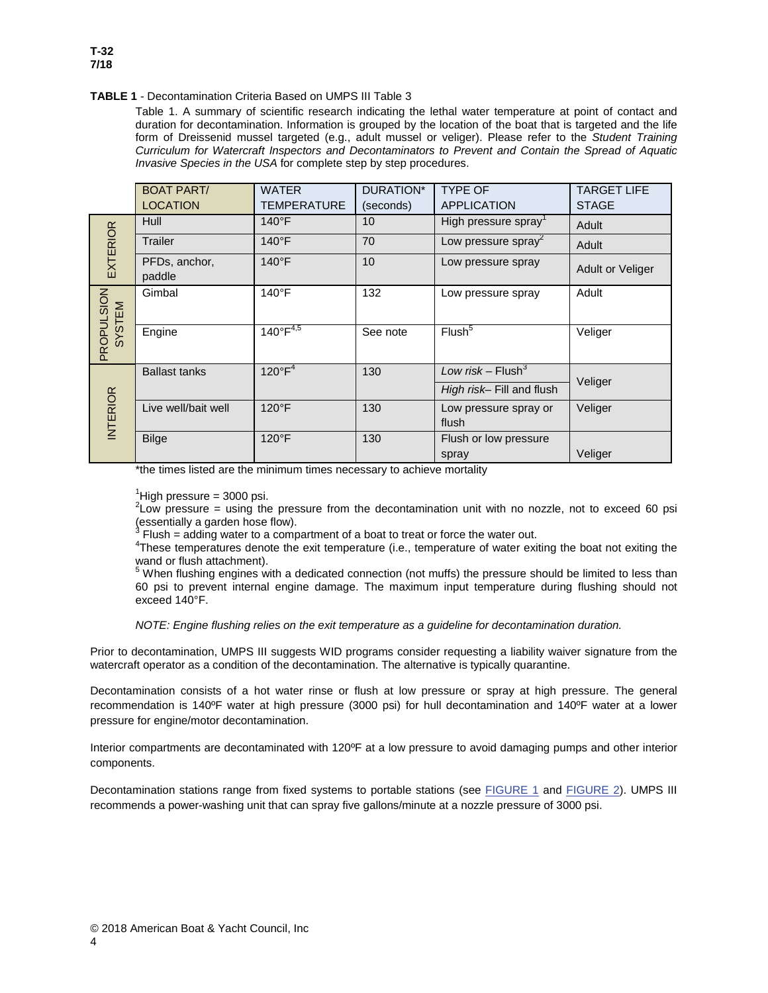#### <span id="page-6-0"></span>**TABLE 1** - Decontamination Criteria Based on UMPS III Table 3

Table 1. A summary of scientific research indicating the lethal water temperature at point of contact and duration for decontamination. Information is grouped by the location of the boat that is targeted and the life form of Dreissenid mussel targeted (e.g., adult mussel or veliger). Please refer to the *Student Training Curriculum for Watercraft Inspectors and Decontaminators to Prevent and Contain the Spread of Aquatic Invasive Species in the USA* for complete step by step procedures.

|                      | <b>BOAT PART/</b>       | <b>WATER</b>         | DURATION*       | <b>TYPE OF</b>                  | <b>TARGET LIFE</b> |
|----------------------|-------------------------|----------------------|-----------------|---------------------------------|--------------------|
|                      | <b>LOCATION</b>         | <b>TEMPERATURE</b>   | (seconds)       | <b>APPLICATION</b>              | <b>STAGE</b>       |
| <b>EXTERIOR</b>      | Hull                    | $140^{\circ}$ F      | 10 <sup>1</sup> | High pressure spray             | Adult              |
|                      | <b>Trailer</b>          | $140^{\circ}$ F      | 70              | Low pressure spray <sup>2</sup> | Adult              |
|                      | PFDs, anchor,<br>paddle | $140^{\circ}$ F      | 10              | Low pressure spray              | Adult or Veliger   |
| PROPULSION<br>SYSTEM | Gimbal                  | $140^{\circ}$ F      | 132             | Low pressure spray              | Adult              |
|                      | Engine                  | $140^{\circ}F^{4,5}$ | See note        | Flush <sup>5</sup>              | Veliger            |
| <b>INTERIOR</b>      | <b>Ballast tanks</b>    | $120^{\circ}F^4$     | 130             | Low risk – Flush <sup>3</sup>   |                    |
|                      |                         |                      |                 | High risk- Fill and flush       | Veliger            |
|                      | Live well/bait well     | $120^{\circ}$ F      | 130             | Low pressure spray or           | Veliger            |
|                      |                         |                      |                 | flush                           |                    |
|                      | <b>Bilge</b>            | $120^{\circ}F$       | 130             | Flush or low pressure           |                    |
|                      |                         |                      |                 | spray                           | Veliger            |

\*the times listed are the minimum times necessary to achieve mortality

1

'High pressure = 3000 psi.<br><sup>2</sup>Low pressure = using the pressure from the decontamination unit with no nozzle, not to exceed 60 psi (essentially a garden hose flow).<br><sup>3</sup> Flush = adding water to a compartment of a boat to treat or force the water out.

<sup>4</sup>These temperatures denote the exit temperature (i.e., temperature of water exiting the boat not exiting the

wand or flush attachment).<br><sup>5</sup> When flushing engines with a dedicated connection (not muffs) the pressure should be limited to less than 60 psi to prevent internal engine damage. The maximum input temperature during flushing should not exceed 140°F.

*NOTE: Engine flushing relies on the exit temperature as a guideline for decontamination duration.*

Prior to decontamination, UMPS III suggests WID programs consider requesting a liability waiver signature from the watercraft operator as a condition of the decontamination. The alternative is typically quarantine.

Decontamination consists of a hot water rinse or flush at low pressure or spray at high pressure. The general recommendation is 140ºF water at high pressure (3000 psi) for hull decontamination and 140ºF water at a lower pressure for engine/motor decontamination.

Interior compartments are decontaminated with 120ºF at a low pressure to avoid damaging pumps and other interior components.

Decontamination stations range from fixed systems to portable stations (see [FIGURE 1](#page-7-0) and [FIGURE 2\)](#page-7-1). UMPS III recommends a power-washing unit that can spray five gallons/minute at a nozzle pressure of 3000 psi.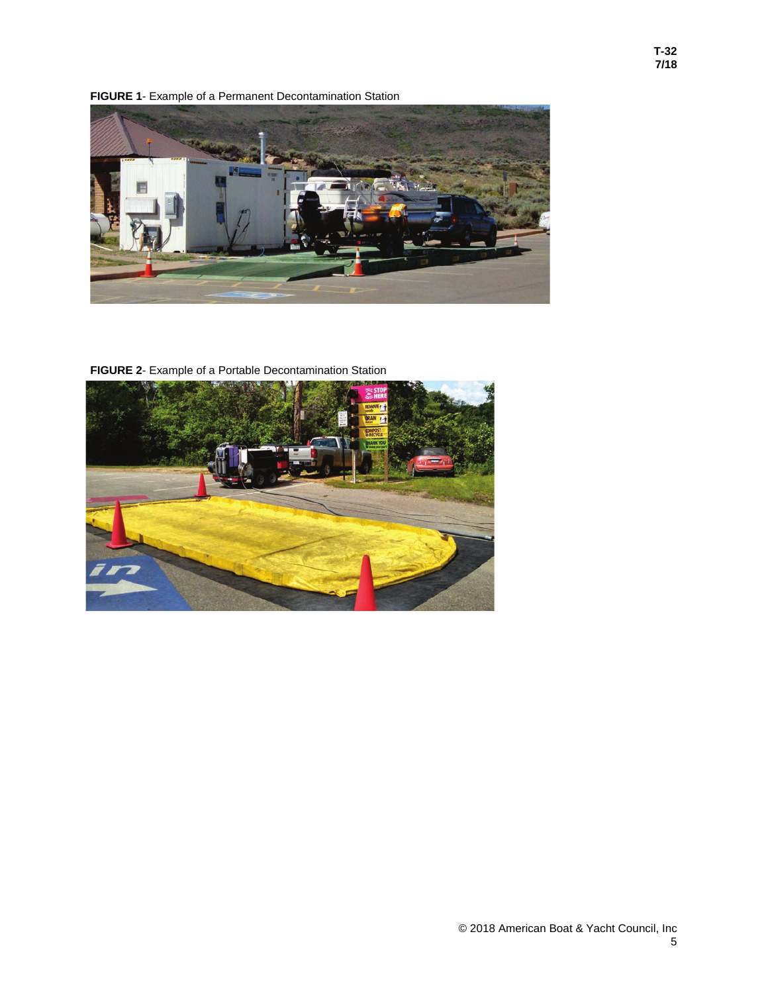<span id="page-7-0"></span>**FIGURE 1**- Example of a Permanent Decontamination Station



<span id="page-7-1"></span>**FIGURE 2**- Example of a Portable Decontamination Station

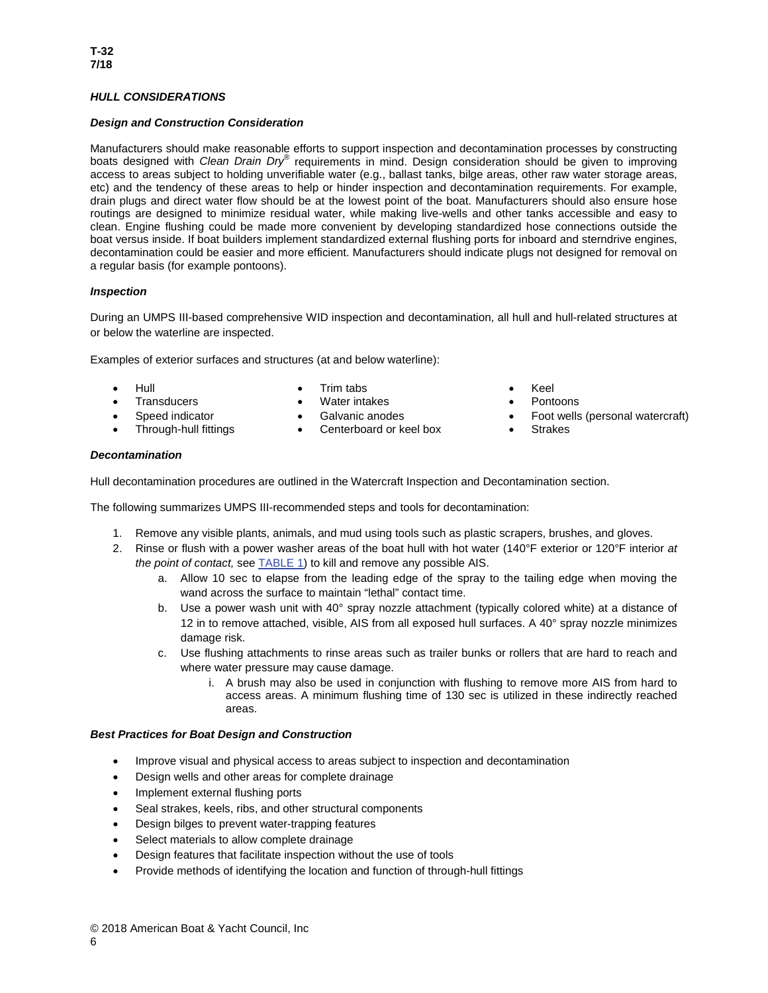# <span id="page-8-0"></span>*HULL CONSIDERATIONS*

#### *Design and Construction Consideration*

Manufacturers should make reasonable efforts to support inspection and decontamination processes by constructing boats designed with *Clean Drain Dry®* requirements in mind. Design consideration should be given to improving access to areas subject to holding unverifiable water (e.g., ballast tanks, bilge areas, other raw water storage areas, etc) and the tendency of these areas to help or hinder inspection and decontamination requirements. For example, drain plugs and direct water flow should be at the lowest point of the boat. Manufacturers should also ensure hose routings are designed to minimize residual water, while making live-wells and other tanks accessible and easy to clean. Engine flushing could be made more convenient by developing standardized hose connections outside the boat versus inside. If boat builders implement standardized external flushing ports for inboard and sterndrive engines, decontamination could be easier and more efficient. Manufacturers should indicate plugs not designed for removal on a regular basis (for example pontoons).

## *Inspection*

During an UMPS III-based comprehensive WID inspection and decontamination, all hull and hull-related structures at or below the waterline are inspected.

Examples of exterior surfaces and structures (at and below waterline):

- -
	- Hull Trim tabs Keel
		-
- Transducers Water intakes Pontoons
	- Through-hull fittings Centerboard or keel box Strakes
- 
- 
- Galvanic anodes Foot wells (personal watercraft)
	-

#### *Decontamination*

Hull decontamination procedures are outlined in the Watercraft Inspection and Decontamination section.

The following summarizes UMPS III-recommended steps and tools for decontamination:

- 1. Remove any visible plants, animals, and mud using tools such as plastic scrapers, brushes, and gloves.
- 2. Rinse or flush with a power washer areas of the boat hull with hot water (140°F exterior or 120°F interior *at the point of contact,* see [TABLE 1\)](#page-6-0) to kill and remove any possible AIS.
	- a. Allow 10 sec to elapse from the leading edge of the spray to the tailing edge when moving the wand across the surface to maintain "lethal" contact time.
	- b. Use a power wash unit with 40° spray nozzle attachment (typically colored white) at a distance of 12 in to remove attached, visible, AIS from all exposed hull surfaces. A 40° spray nozzle minimizes damage risk.
	- c. Use flushing attachments to rinse areas such as trailer bunks or rollers that are hard to reach and where water pressure may cause damage.
		- i. A brush may also be used in conjunction with flushing to remove more AIS from hard to access areas. A minimum flushing time of 130 sec is utilized in these indirectly reached areas.

#### *Best Practices for Boat Design and Construction*

- Improve visual and physical access to areas subject to inspection and decontamination
- Design wells and other areas for complete drainage
- Implement external flushing ports
- Seal strakes, keels, ribs, and other structural components
- Design bilges to prevent water-trapping features
- Select materials to allow complete drainage
- Design features that facilitate inspection without the use of tools
- <span id="page-8-1"></span>• Provide methods of identifying the location and function of through-hull fittings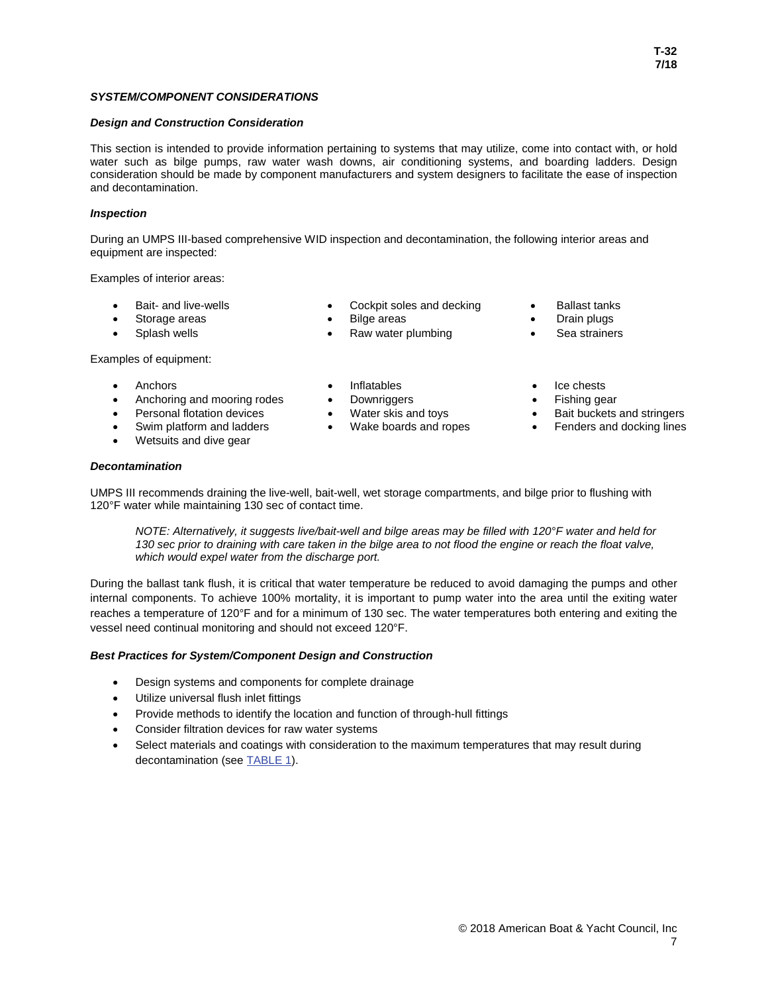### *SYSTEM/COMPONENT CONSIDERATIONS*

#### *Design and Construction Consideration*

This section is intended to provide information pertaining to systems that may utilize, come into contact with, or hold water such as bilge pumps, raw water wash downs, air conditioning systems, and boarding ladders. Design consideration should be made by component manufacturers and system designers to facilitate the ease of inspection and decontamination.

#### *Inspection*

During an UMPS III-based comprehensive WID inspection and decontamination, the following interior areas and equipment are inspected:

Examples of interior areas:

- Bait- and live-wells Cockpit soles and decking Ballast tanks
- 
- 

Examples of equipment:

- Anchors Inflatables Inflatables Ice chests
- Anchoring and mooring rodes Downriggers Fishing gear
- 
- 
- Wetsuits and dive gear

#### *Decontamination*

• Storage areas • Bilge areas • Drain plugs • Splash wells **•** Raw water plumbing

- 
- 
- 
- 
- **Personal flotation devices** Water skis and toys Bait buckets and stringers
- Swim platform and ladders Wake boards and ropes Fenders and docking lines
- UMPS III recommends draining the live-well, bait-well, wet storage compartments, and bilge prior to flushing with 120°F water while maintaining 130 sec of contact time.

*NOTE: Alternatively, it suggests live/bait-well and bilge areas may be filled with 120°F water and held for 130 sec prior to draining with care taken in the bilge area to not flood the engine or reach the float valve, which would expel water from the discharge port.*

During the ballast tank flush, it is critical that water temperature be reduced to avoid damaging the pumps and other internal components. To achieve 100% mortality, it is important to pump water into the area until the exiting water reaches a temperature of 120°F and for a minimum of 130 sec. The water temperatures both entering and exiting the vessel need continual monitoring and should not exceed 120°F.

#### *Best Practices for System/Component Design and Construction*

- Design systems and components for complete drainage
- Utilize universal flush inlet fittings
- Provide methods to identify the location and function of through-hull fittings
- Consider filtration devices for raw water systems
- <span id="page-9-0"></span>Select materials and coatings with consideration to the maximum temperatures that may result during decontamination (se[e TABLE 1\)](#page-6-0).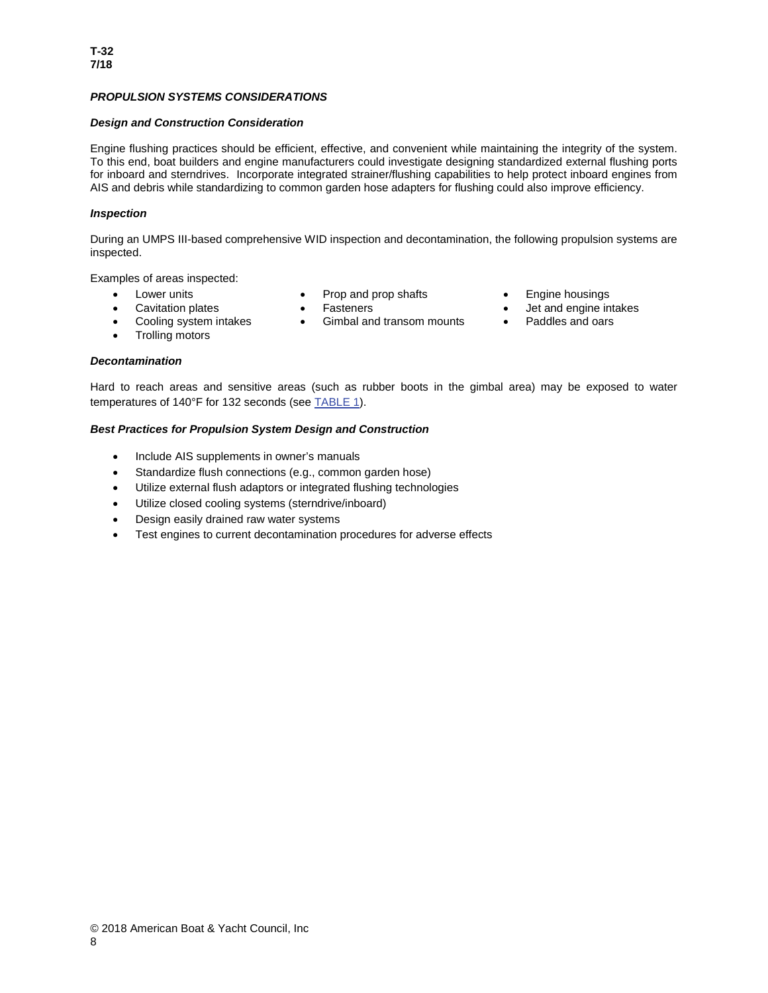## *PROPULSION SYSTEMS CONSIDERATIONS*

#### *Design and Construction Consideration*

Engine flushing practices should be efficient, effective, and convenient while maintaining the integrity of the system. To this end, boat builders and engine manufacturers could investigate designing standardized external flushing ports for inboard and sterndrives. Incorporate integrated strainer/flushing capabilities to help protect inboard engines from AIS and debris while standardizing to common garden hose adapters for flushing could also improve efficiency.

#### *Inspection*

During an UMPS III-based comprehensive WID inspection and decontamination, the following propulsion systems are inspected.

Examples of areas inspected:

- 
- Lower units Prop and prop shafts Engine housings
	- - Gimbal and transom mounts Paddles and oars
- 
- Cavitation plates Fasteners Fasteners Jet and engine intakes
	-

• Trolling motors

• Cooling system intakes

#### *Decontamination*

Hard to reach areas and sensitive areas (such as rubber boots in the gimbal area) may be exposed to water temperatures of 140°F for 132 seconds (se[e TABLE 1\)](#page-6-0).

#### *Best Practices for Propulsion System Design and Construction*

- Include AIS supplements in owner's manuals
- Standardize flush connections (e.g., common garden hose)
- Utilize external flush adaptors or integrated flushing technologies
- Utilize closed cooling systems (sterndrive/inboard)
- Design easily drained raw water systems
- <span id="page-10-0"></span>• Test engines to current decontamination procedures for adverse effects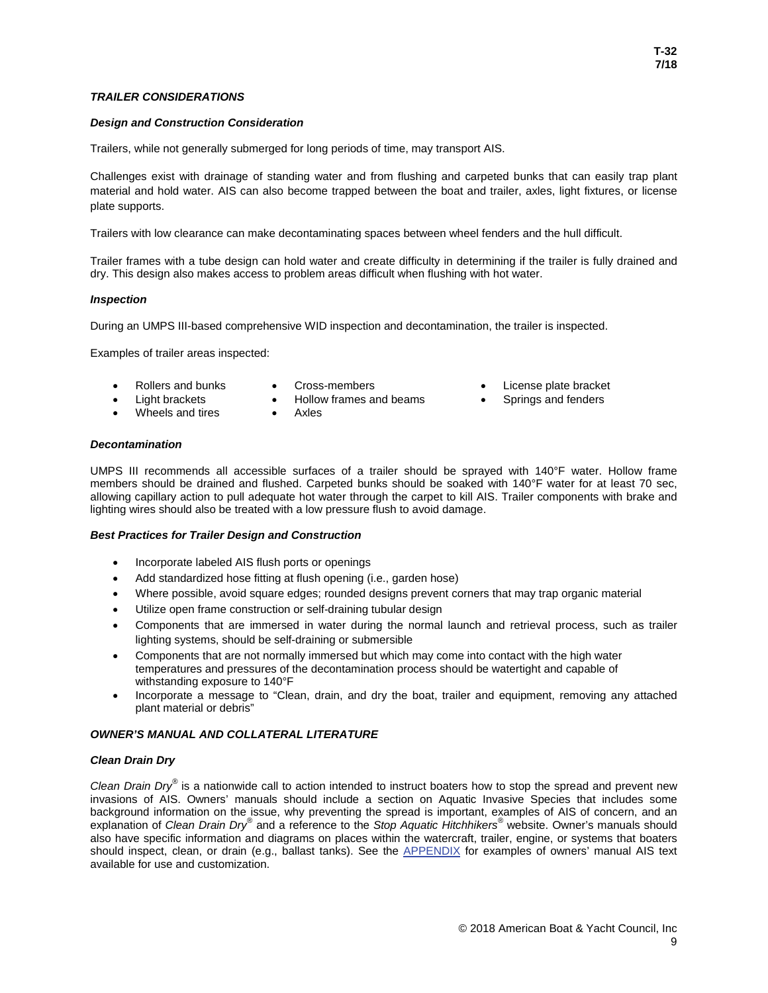#### *Design and Construction Consideration*

Trailers, while not generally submerged for long periods of time, may transport AIS.

Challenges exist with drainage of standing water and from flushing and carpeted bunks that can easily trap plant material and hold water. AIS can also become trapped between the boat and trailer, axles, light fixtures, or license plate supports.

Trailers with low clearance can make decontaminating spaces between wheel fenders and the hull difficult.

Trailer frames with a tube design can hold water and create difficulty in determining if the trailer is fully drained and dry. This design also makes access to problem areas difficult when flushing with hot water.

#### *Inspection*

During an UMPS III-based comprehensive WID inspection and decontamination, the trailer is inspected.

Examples of trailer areas inspected:

- Light brackets
- 
- Hollow frames and beams
- Wheels and tires
- 
- Axles
- Rollers and bunks Cross-members License plate bracket
	- Springs and fenders

#### *Decontamination*

UMPS III recommends all accessible surfaces of a trailer should be sprayed with 140°F water. Hollow frame members should be drained and flushed. Carpeted bunks should be soaked with 140°F water for at least 70 sec, allowing capillary action to pull adequate hot water through the carpet to kill AIS. Trailer components with brake and lighting wires should also be treated with a low pressure flush to avoid damage.

#### *Best Practices for Trailer Design and Construction*

- Incorporate labeled AIS flush ports or openings
- Add standardized hose fitting at flush opening (i.e., garden hose)
- Where possible, avoid square edges; rounded designs prevent corners that may trap organic material
- Utilize open frame construction or self-draining tubular design
- Components that are immersed in water during the normal launch and retrieval process, such as trailer lighting systems, should be self-draining or submersible
- Components that are not normally immersed but which may come into contact with the high water temperatures and pressures of the decontamination process should be watertight and capable of withstanding exposure to 140°F
- Incorporate a message to "Clean, drain, and dry the boat, trailer and equipment, removing any attached plant material or debris"

#### <span id="page-11-0"></span>*OWNER'S MANUAL AND COLLATERAL LITERATURE*

#### *Clean Drain Dry*

<span id="page-11-1"></span>*Clean Drain Dry®* is a nationwide call to action intended to instruct boaters how to stop the spread and prevent new invasions of AIS. Owners' manuals should include a section on Aquatic Invasive Species that includes some background information on the issue, why preventing the spread is important, examples of AIS of concern, and an explanation of *Clean Drain Dry®* and a reference to the *Stop Aquatic Hitchhikers®* website. Owner's manuals should also have specific information and diagrams on places within the watercraft, trailer, engine, or systems that boaters should inspect, clean, or drain (e.g., ballast tanks). See the [APPENDIX](#page-12-0) for examples of owners' manual AIS text available for use and customization.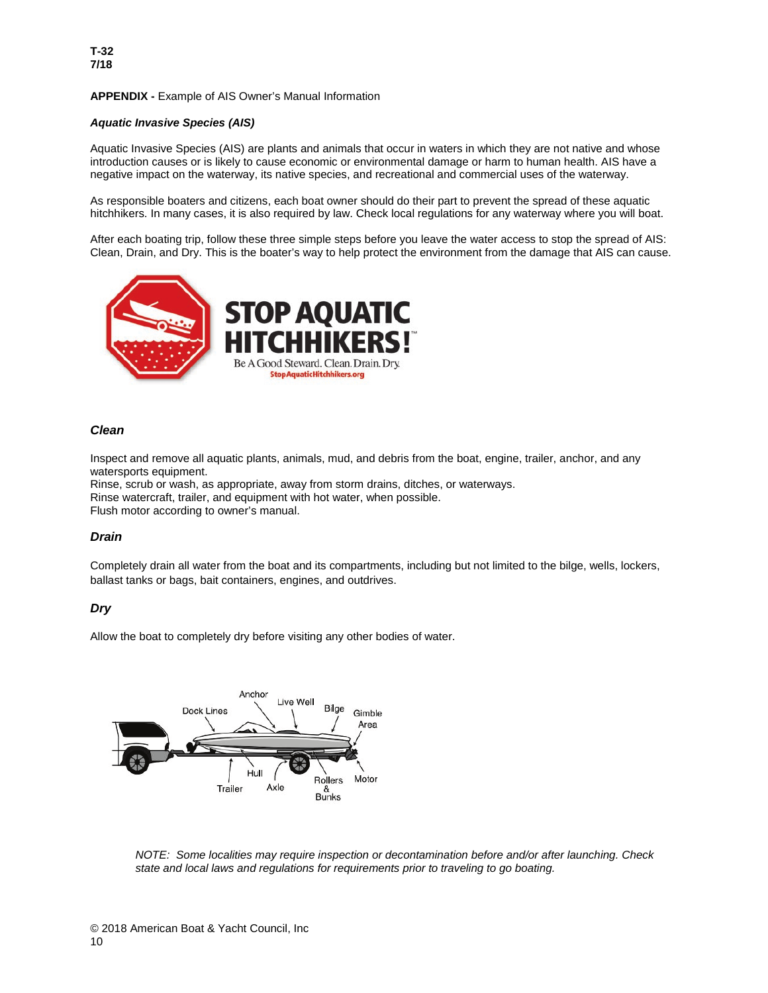### <span id="page-12-0"></span>**APPENDIX -** Example of AIS Owner's Manual Information

### *Aquatic Invasive Species (AIS)*

Aquatic Invasive Species (AIS) are plants and animals that occur in waters in which they are not native and whose introduction causes or is likely to cause economic or environmental damage or harm to human health. AIS have a negative impact on the waterway, its native species, and recreational and commercial uses of the waterway.

As responsible boaters and citizens, each boat owner should do their part to prevent the spread of these aquatic hitchhikers. In many cases, it is also required by law. Check local regulations for any waterway where you will boat.

After each boating trip, follow these three simple steps before you leave the water access to stop the spread of AIS: Clean, Drain, and Dry. This is the boater's way to help protect the environment from the damage that AIS can cause.



## *Clean*

Inspect and remove all aquatic plants, animals, mud, and debris from the boat, engine, trailer, anchor, and any watersports equipment.

Rinse, scrub or wash, as appropriate, away from storm drains, ditches, or waterways. Rinse watercraft, trailer, and equipment with hot water, when possible. Flush motor according to owner's manual.

# *Drain*

Completely drain all water from the boat and its compartments, including but not limited to the bilge, wells, lockers, ballast tanks or bags, bait containers, engines, and outdrives.

# *Dry*

Allow the boat to completely dry before visiting any other bodies of water.



*NOTE: Some localities may require inspection or decontamination before and/or after launching. Check state and local laws and regulations for requirements prior to traveling to go boating.*